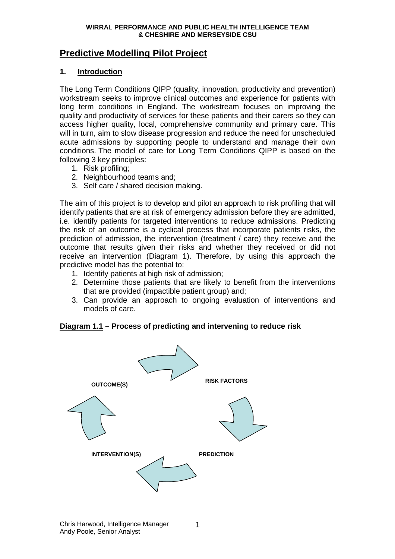# **Predictive Modelling Pilot Project**

### **1. Introduction**

The Long Term Conditions QIPP (quality, innovation, productivity and prevention) workstream seeks to improve clinical outcomes and experience for patients with long term conditions in England. The workstream focuses on improving the quality and productivity of services for these patients and their carers so they can access higher quality, local, comprehensive community and primary care. This will in turn, aim to slow disease progression and reduce the need for unscheduled acute admissions by supporting people to understand and manage their own conditions. The model of care for Long Term Conditions QIPP is based on the following 3 key principles:

- 1. Risk profiling;
- 2. Neighbourhood teams and;
- 3. Self care / shared decision making.

The aim of this project is to develop and pilot an approach to risk profiling that will identify patients that are at risk of emergency admission before they are admitted, i.e. identify patients for targeted interventions to reduce admissions. Predicting the risk of an outcome is a cyclical process that incorporate patients risks, the prediction of admission, the intervention (treatment / care) they receive and the outcome that results given their risks and whether they received or did not receive an intervention (Diagram 1). Therefore, by using this approach the predictive model has the potential to:

- 1. Identify patients at high risk of admission;
- 2. Determine those patients that are likely to benefit from the interventions that are provided (impactible patient group) and;
- 3. Can provide an approach to ongoing evaluation of interventions and models of care.

### **Diagram 1.1 – Process of predicting and intervening to reduce risk**

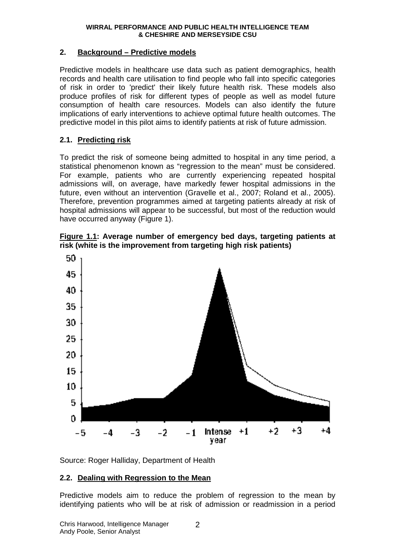#### **2. Background – Predictive models**

Predictive models in healthcare use data such as patient demographics, health records and health care utilisation to find people who fall into specific categories of risk in order to 'predict' their likely future health risk. These models also produce profiles of risk for different types of people as well as model future consumption of health care resources. Models can also identify the future implications of early interventions to achieve optimal future health outcomes. The predictive model in this pilot aims to identify patients at risk of future admission.

### **2.1. Predicting risk**

To predict the risk of someone being admitted to hospital in any time period, a statistical phenomenon known as "regression to the mean" must be considered. For example, patients who are currently experiencing repeated hospital admissions will, on average, have markedly fewer hospital admissions in the future, even without an intervention (Gravelle et al., 2007; Roland et al., 2005). Therefore, prevention programmes aimed at targeting patients already at risk of hospital admissions will appear to be successful, but most of the reduction would have occurred anyway (Figure 1).

**Figure 1.1: Average number of emergency bed days, targeting patients at risk (white is the improvement from targeting high risk patients)** 



Source: Roger Halliday, Department of Health

### **2.2. Dealing with Regression to the Mean**

Predictive models aim to reduce the problem of regression to the mean by identifying patients who will be at risk of admission or readmission in a period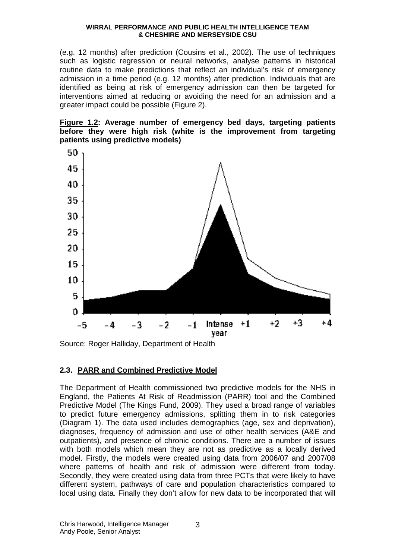(e.g. 12 months) after prediction (Cousins et al., 2002). The use of techniques such as logistic regression or neural networks, analyse patterns in historical routine data to make predictions that reflect an individual's risk of emergency admission in a time period (e.g. 12 months) after prediction. Individuals that are identified as being at risk of emergency admission can then be targeted for interventions aimed at reducing or avoiding the need for an admission and a greater impact could be possible (Figure 2).

**Figure 1.2: Average number of emergency bed days, targeting patients before they were high risk (white is the improvement from targeting patients using predictive models)** 



Source: Roger Halliday, Department of Health

### **2.3. PARR and Combined Predictive Model**

The Department of Health commissioned two predictive models for the NHS in England, the Patients At Risk of Readmission (PARR) tool and the Combined Predictive Model (The Kings Fund, 2009). They used a broad range of variables to predict future emergency admissions, splitting them in to risk categories (Diagram 1). The data used includes demographics (age, sex and deprivation), diagnoses, frequency of admission and use of other health services (A&E and outpatients), and presence of chronic conditions. There are a number of issues with both models which mean they are not as predictive as a locally derived model. Firstly, the models were created using data from 2006/07 and 2007/08 where patterns of health and risk of admission were different from today. Secondly, they were created using data from three PCTs that were likely to have different system, pathways of care and population characteristics compared to local using data. Finally they don't allow for new data to be incorporated that will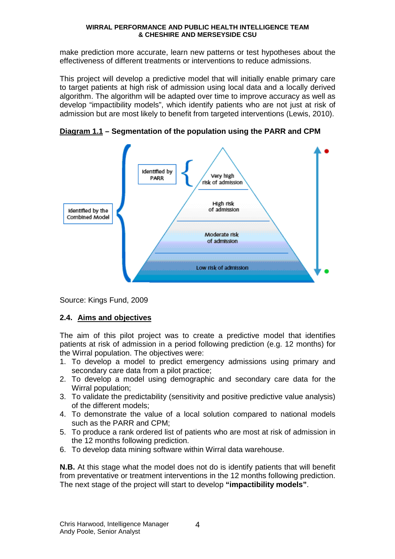make prediction more accurate, learn new patterns or test hypotheses about the effectiveness of different treatments or interventions to reduce admissions.

This project will develop a predictive model that will initially enable primary care to target patients at high risk of admission using local data and a locally derived algorithm. The algorithm will be adapted over time to improve accuracy as well as develop "impactibility models", which identify patients who are not just at risk of admission but are most likely to benefit from targeted interventions (Lewis, 2010).



**Diagram 1.1 – Segmentation of the population using the PARR and CPM** 

Source: Kings Fund, 2009

# **2.4. Aims and objectives**

The aim of this pilot project was to create a predictive model that identifies patients at risk of admission in a period following prediction (e.g. 12 months) for the Wirral population. The objectives were:

- 1. To develop a model to predict emergency admissions using primary and secondary care data from a pilot practice;
- 2. To develop a model using demographic and secondary care data for the Wirral population;
- 3. To validate the predictability (sensitivity and positive predictive value analysis) of the different models;
- 4. To demonstrate the value of a local solution compared to national models such as the PARR and CPM;
- 5. To produce a rank ordered list of patients who are most at risk of admission in the 12 months following prediction.
- 6. To develop data mining software within Wirral data warehouse.

**N.B.** At this stage what the model does not do is identify patients that will benefit from preventative or treatment interventions in the 12 months following prediction. The next stage of the project will start to develop **"impactibility models"**.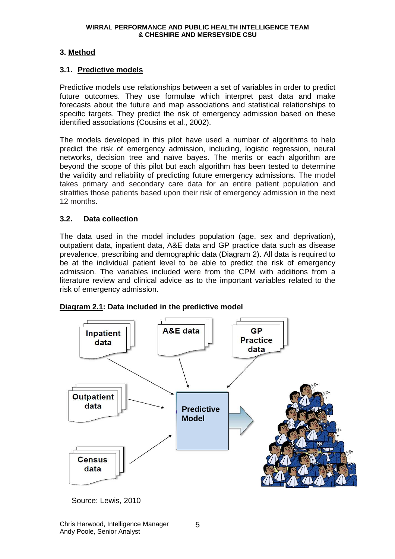## **3. Method**

### **3.1. Predictive models**

Predictive models use relationships between a set of variables in order to predict future outcomes. They use formulae which interpret past data and make forecasts about the future and map associations and statistical relationships to specific targets. They predict the risk of emergency admission based on these identified associations (Cousins et al., 2002).

The models developed in this pilot have used a number of algorithms to help predict the risk of emergency admission, including, logistic regression, neural networks, decision tree and naïve bayes. The merits or each algorithm are beyond the scope of this pilot but each algorithm has been tested to determine the validity and reliability of predicting future emergency admissions. The model takes primary and secondary care data for an entire patient population and stratifies those patients based upon their risk of emergency admission in the next 12 months.

#### **3.2. Data collection**

The data used in the model includes population (age, sex and deprivation), outpatient data, inpatient data, A&E data and GP practice data such as disease prevalence, prescribing and demographic data (Diagram 2). All data is required to be at the individual patient level to be able to predict the risk of emergency admission. The variables included were from the CPM with additions from a literature review and clinical advice as to the important variables related to the risk of emergency admission.



#### **Diagram 2.1: Data included in the predictive model**

Source: Lewis, 2010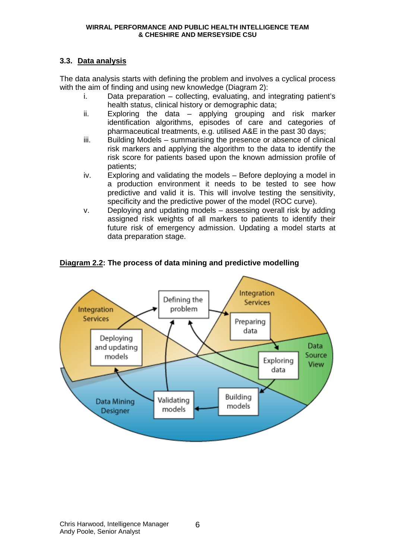## **3.3. Data analysis**

The data analysis starts with defining the problem and involves a cyclical process with the aim of finding and using new knowledge (Diagram 2):

- i. Data preparation collecting, evaluating, and integrating patient's health status, clinical history or demographic data;
- ii. Exploring the data applying grouping and risk marker identification algorithms, episodes of care and categories of pharmaceutical treatments, e.g. utilised A&E in the past 30 days;
- iii. Building Models summarising the presence or absence of clinical risk markers and applying the algorithm to the data to identify the risk score for patients based upon the known admission profile of patients;
- iv. Exploring and validating the models Before deploying a model in a production environment it needs to be tested to see how predictive and valid it is. This will involve testing the sensitivity, specificity and the predictive power of the model (ROC curve).
- v. Deploying and updating models assessing overall risk by adding assigned risk weights of all markers to patients to identify their future risk of emergency admission. Updating a model starts at data preparation stage.



## **Diagram 2.2: The process of data mining and predictive modelling**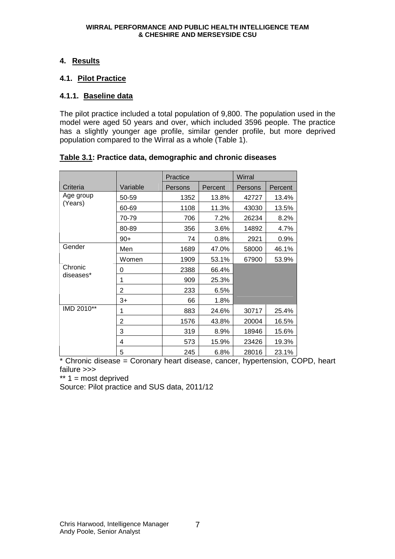## **4. Results**

## **4.1. Pilot Practice**

## **4.1.1. Baseline data**

The pilot practice included a total population of 9,800. The population used in the model were aged 50 years and over, which included 3596 people. The practice has a slightly younger age profile, similar gender profile, but more deprived population compared to the Wirral as a whole (Table 1).

|                      |          | Practice |         | Wirral  |         |  |  |
|----------------------|----------|----------|---------|---------|---------|--|--|
| Criteria             | Variable | Persons  | Percent | Persons | Percent |  |  |
| Age group            | 50-59    | 1352     | 13.8%   | 42727   | 13.4%   |  |  |
| (Years)              | 60-69    | 1108     | 11.3%   | 43030   | 13.5%   |  |  |
|                      | 70-79    | 706      | 7.2%    | 26234   | 8.2%    |  |  |
|                      | 80-89    | 356      | 3.6%    | 14892   | 4.7%    |  |  |
|                      | $90+$    | 74       | 0.8%    | 2921    | 0.9%    |  |  |
| Gender               | Men      | 1689     | 47.0%   | 58000   | 46.1%   |  |  |
|                      | Women    | 1909     | 53.1%   | 67900   | 53.9%   |  |  |
| Chronic<br>diseases* | 0        | 2388     | 66.4%   |         |         |  |  |
|                      | 1        | 909      | 25.3%   |         |         |  |  |
|                      | 2        | 233      | 6.5%    |         |         |  |  |
|                      | $3+$     | 66       | 1.8%    |         |         |  |  |
| IMD 2010**           | 1        | 883      | 24.6%   | 30717   | 25.4%   |  |  |
|                      | 2        | 1576     | 43.8%   | 20004   | 16.5%   |  |  |
|                      | 3        | 319      | 8.9%    | 18946   | 15.6%   |  |  |
|                      | 4        | 573      | 15.9%   | 23426   | 19.3%   |  |  |
|                      | 5        | 245      | 6.8%    | 28016   | 23.1%   |  |  |

### **Table 3.1: Practice data, demographic and chronic diseases**

\* Chronic disease = Coronary heart disease, cancer, hypertension, COPD, heart failure >>>

 $** 1 =$  most deprived

Source: Pilot practice and SUS data, 2011/12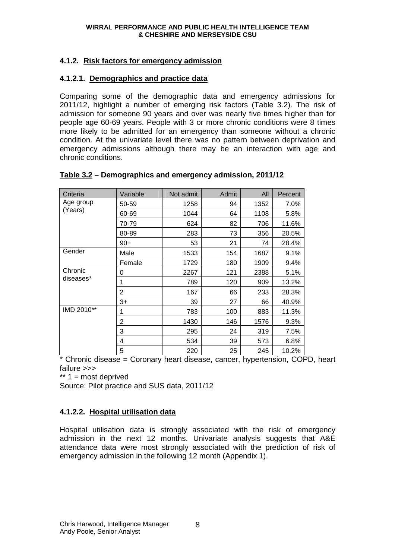## **4.1.2. Risk factors for emergency admission**

#### **4.1.2.1. Demographics and practice data**

Comparing some of the demographic data and emergency admissions for 2011/12, highlight a number of emerging risk factors (Table 3.2). The risk of admission for someone 90 years and over was nearly five times higher than for people age 60-69 years. People with 3 or more chronic conditions were 8 times more likely to be admitted for an emergency than someone without a chronic condition. At the univariate level there was no pattern between deprivation and emergency admissions although there may be an interaction with age and chronic conditions.

| Criteria             | Variable       | Not admit | Admit | All  | Percent |
|----------------------|----------------|-----------|-------|------|---------|
| Age group            | 50-59          | 1258      | 94    | 1352 | 7.0%    |
| (Years)              | 60-69          | 1044      | 64    | 1108 | 5.8%    |
|                      | 70-79          | 624       | 82    | 706  | 11.6%   |
|                      | 80-89          | 283       | 73    | 356  | 20.5%   |
|                      | $90+$          | 53        | 21    | 74   | 28.4%   |
| Gender               | Male           | 1533      | 154   | 1687 | 9.1%    |
|                      | Female         | 1729      | 180   | 1909 | 9.4%    |
| Chronic<br>diseases* | 0              | 2267      | 121   | 2388 | 5.1%    |
|                      | 1              | 789       | 120   | 909  | 13.2%   |
|                      | 2              | 167       | 66    | 233  | 28.3%   |
|                      | $3+$           | 39        | 27    | 66   | 40.9%   |
| IMD 2010**           | 1              | 783       | 100   | 883  | 11.3%   |
|                      | $\overline{c}$ | 1430      | 146   | 1576 | 9.3%    |
|                      | 3              | 295       | 24    | 319  | 7.5%    |
|                      | 4              | 534       | 39    | 573  | 6.8%    |
|                      | 5              | 220       | 25    | 245  | 10.2%   |

#### **Table 3.2 – Demographics and emergency admission, 2011/12**

\* Chronic disease = Coronary heart disease, cancer, hypertension, COPD, heart failure >>>

\*\* 1 = most deprived

Source: Pilot practice and SUS data, 2011/12

# **4.1.2.2. Hospital utilisation data**

Hospital utilisation data is strongly associated with the risk of emergency admission in the next 12 months. Univariate analysis suggests that A&E attendance data were most strongly associated with the prediction of risk of emergency admission in the following 12 month (Appendix 1).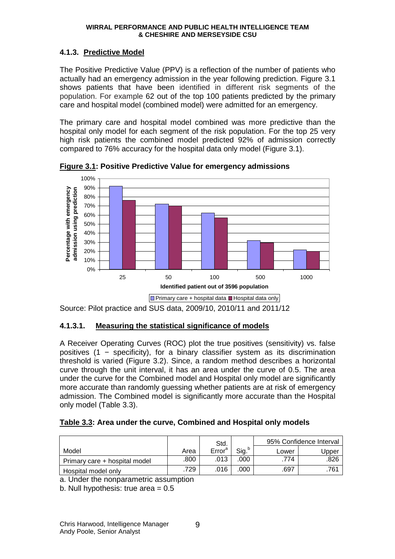### **4.1.3. Predictive Model**

The Positive Predictive Value (PPV) is a reflection of the number of patients who actually had an emergency admission in the year following prediction. Figure 3.1 shows patients that have been identified in different risk segments of the population. For example 62 out of the top 100 patients predicted by the primary care and hospital model (combined model) were admitted for an emergency.

The primary care and hospital model combined was more predictive than the hospital only model for each segment of the risk population. For the top 25 very high risk patients the combined model predicted 92% of admission correctly compared to 76% accuracy for the hospital data only model (Figure 3.1).



**Figure 3.1: Positive Predictive Value for emergency admissions** 

Source: Pilot practice and SUS data, 2009/10, 2010/11 and 2011/12

### **4.1.3.1. Measuring the statistical significance of models**

A Receiver Operating Curves (ROC) plot the true positives (sensitivity) vs. false positives (1 − specificity), for a binary classifier system as its discrimination threshold is varied (Figure 3.2). Since, a random method describes a horizontal curve through the unit interval, it has an area under the curve of 0.5. The area under the curve for the Combined model and Hospital only model are significantly more accurate than randomly guessing whether patients are at risk of emergency admission. The Combined model is significantly more accurate than the Hospital only model (Table 3.3).

### **Table 3.3: Area under the curve, Combined and Hospital only models**

|                               |      | Std.               |                   | 95% Confidence Interval |       |  |
|-------------------------------|------|--------------------|-------------------|-------------------------|-------|--|
| Model                         | Area | Error <sup>a</sup> | Sig. <sup>b</sup> | Lower                   | Jpper |  |
| Primary care + hospital model | .800 | .013               | .000              | .774                    | .826  |  |
| Hospital model only           | .729 | .016               | .000              | .697                    | 761   |  |

a. Under the nonparametric assumption

b. Null hypothesis: true area  $= 0.5$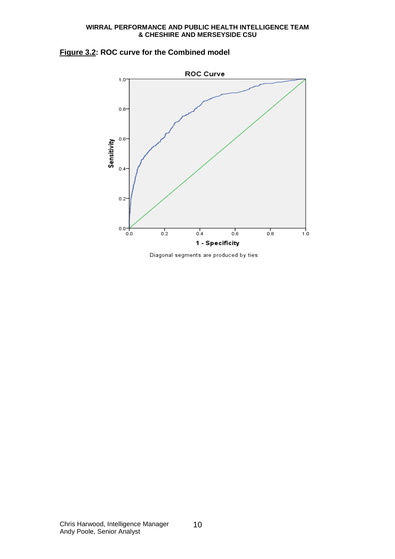



Diagonal segments are produced by ties.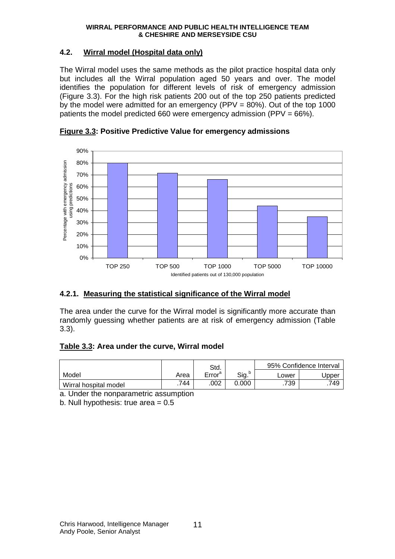## **4.2. Wirral model (Hospital data only)**

The Wirral model uses the same methods as the pilot practice hospital data only but includes all the Wirral population aged 50 years and over. The model identifies the population for different levels of risk of emergency admission (Figure 3.3). For the high risk patients 200 out of the top 250 patients predicted by the model were admitted for an emergency (PPV =  $80\%$ ). Out of the top 1000 patients the model predicted 660 were emergency admission (PPV = 66%).



**Figure 3.3: Positive Predictive Value for emergency admissions** 

# **4.2.1. Measuring the statistical significance of the Wirral model**

The area under the curve for the Wirral model is significantly more accurate than randomly guessing whether patients are at risk of emergency admission (Table 3.3).

### **Table 3.3: Area under the curve, Wirral model**

|                       |      | Std.               |       | 95% Confidence Interval |       |  |
|-----------------------|------|--------------------|-------|-------------------------|-------|--|
| Model                 | Area | Error <sup>a</sup> | Sig.  | ∟ower                   | Jpper |  |
| Wirral hospital model | .744 | .002               | 0.000 | .739                    | .749  |  |

a. Under the nonparametric assumption

b. Null hypothesis: true area  $= 0.5$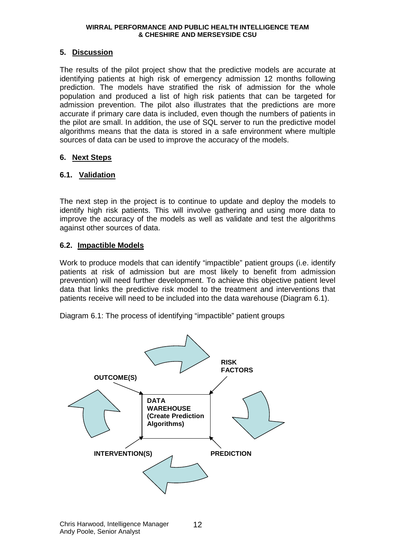#### **5. Discussion**

The results of the pilot project show that the predictive models are accurate at identifying patients at high risk of emergency admission 12 months following prediction. The models have stratified the risk of admission for the whole population and produced a list of high risk patients that can be targeted for admission prevention. The pilot also illustrates that the predictions are more accurate if primary care data is included, even though the numbers of patients in the pilot are small. In addition, the use of SQL server to run the predictive model algorithms means that the data is stored in a safe environment where multiple sources of data can be used to improve the accuracy of the models.

#### **6. Next Steps**

#### **6.1. Validation**

The next step in the project is to continue to update and deploy the models to identify high risk patients. This will involve gathering and using more data to improve the accuracy of the models as well as validate and test the algorithms against other sources of data.

#### **6.2. Impactible Models**

Work to produce models that can identify "impactible" patient groups (i.e. identify patients at risk of admission but are most likely to benefit from admission prevention) will need further development. To achieve this objective patient level data that links the predictive risk model to the treatment and interventions that patients receive will need to be included into the data warehouse (Diagram 6.1).

Diagram 6.1: The process of identifying "impactible" patient groups

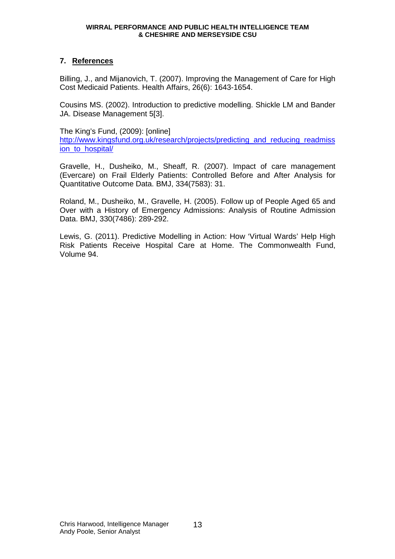#### **7. References**

Billing, J., and Mijanovich, T. (2007). Improving the Management of Care for High Cost Medicaid Patients. Health Affairs, 26(6): 1643-1654.

Cousins MS. (2002). Introduction to predictive modelling. Shickle LM and Bander JA. Disease Management 5[3].

The King's Fund, (2009): [online]

http://www.kingsfund.org.uk/research/projects/predicting\_and\_reducing\_readmiss ion to hospital/

Gravelle, H., Dusheiko, M., Sheaff, R. (2007). Impact of care management (Evercare) on Frail Elderly Patients: Controlled Before and After Analysis for Quantitative Outcome Data. BMJ, 334(7583): 31.

Roland, M., Dusheiko, M., Gravelle, H. (2005). Follow up of People Aged 65 and Over with a History of Emergency Admissions: Analysis of Routine Admission Data. BMJ, 330(7486): 289-292.

Lewis, G. (2011). Predictive Modelling in Action: How 'Virtual Wards' Help High Risk Patients Receive Hospital Care at Home. The Commonwealth Fund, Volume 94.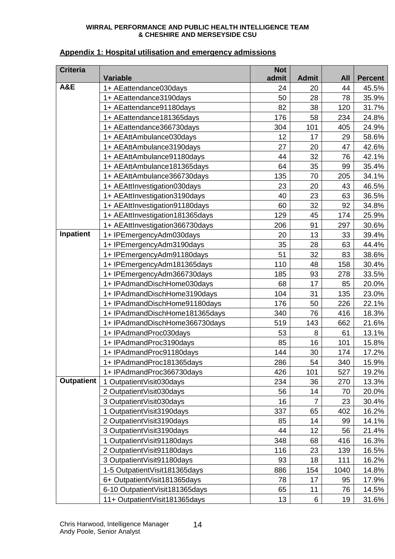|  | Appendix 1: Hospital utilisation and emergency admissions |  |  |
|--|-----------------------------------------------------------|--|--|
|--|-----------------------------------------------------------|--|--|

| <b>Criteria</b>   | <b>Variable</b>                 | <b>Not</b><br>admit | <b>Admit</b> | <b>All</b> | <b>Percent</b> |
|-------------------|---------------------------------|---------------------|--------------|------------|----------------|
| A&E               | 1+ AEattendance030days          | 24                  | 20           | 44         | 45.5%          |
|                   | 1+ AEattendance3190days         | 50                  | 28           | 78         | 35.9%          |
|                   | 1+ AEattendance91180days        | 82                  | 38           | 120        | 31.7%          |
|                   | 1+ AEattendance181365days       | 176                 | 58           | 234        | 24.8%          |
|                   | 1+ AEattendance366730days       | 304                 | 101          | 405        | 24.9%          |
|                   | 1+ AEAttAmbulance030days        | 12                  | 17           | 29         | 58.6%          |
|                   | 1+ AEAttAmbulance3190days       | 27                  | 20           | 47         | 42.6%          |
|                   | 1+ AEAttAmbulance91180days      | 44                  | 32           | 76         | 42.1%          |
|                   | 1+ AEAttAmbulance181365days     | 64                  | 35           | 99         | 35.4%          |
|                   | 1+ AEAttAmbulance366730days     | 135                 | 70           | 205        | 34.1%          |
|                   | 1+ AEAttInvestigation030days    | 23                  | 20           | 43         | 46.5%          |
|                   | 1+ AEAttInvestigation3190days   | 40                  | 23           | 63         | 36.5%          |
|                   | 1+ AEAttInvestigation91180days  | 60                  | 32           | 92         | 34.8%          |
|                   | 1+ AEAttInvestigation181365days | 129                 | 45           | 174        | 25.9%          |
|                   | 1+ AEAttInvestigation366730days | 206                 | 91           | 297        | 30.6%          |
| Inpatient         | 1+ IPEmergencyAdm030days        | 20                  | 13           | 33         | 39.4%          |
|                   | 1+ IPEmergencyAdm3190days       | 35                  | 28           | 63         | 44.4%          |
|                   | 1+ IPEmergencyAdm91180days      | 51                  | 32           | 83         | 38.6%          |
|                   | 1+ IPEmergencyAdm181365days     | 110                 | 48           | 158        | 30.4%          |
|                   | 1+ IPEmergencyAdm366730days     | 185                 | 93           | 278        | 33.5%          |
|                   | 1+ IPAdmandDischHome030days     | 68                  | 17           | 85         | 20.0%          |
|                   | 1+ IPAdmandDischHome3190days    | 104                 | 31           | 135        | 23.0%          |
|                   | 1+ IPAdmandDischHome91180days   | 176                 | 50           | 226        | 22.1%          |
|                   | 1+ IPAdmandDischHome181365days  | 340                 | 76           | 416        | 18.3%          |
|                   | 1+ IPAdmandDischHome366730days  | 519                 | 143          | 662        | 21.6%          |
|                   | 1+ IPAdmandProc030days          | 53                  | 8            | 61         | 13.1%          |
|                   | 1+ IPAdmandProc3190days         | 85                  | 16           | 101        | 15.8%          |
|                   | 1+ IPAdmandProc91180days        | 144                 | 30           | 174        | 17.2%          |
|                   | 1+ IPAdmandProc181365days       | 286                 | 54           | 340        | 15.9%          |
|                   | 1+ IPAdmandProc366730days       | 426                 | 101          | 527        | 19.2%          |
| <b>Outpatient</b> | 1 OutpatientVisit030days        | 234                 | 36           | 270        | 13.3%          |
|                   | 2 OutpatientVisit030days        | 56                  | 14           | 70         | 20.0%          |
|                   | 3 OutpatientVisit030days        | 16                  | 7            | 23         | 30.4%          |
|                   | 1 OutpatientVisit3190days       | 337                 | 65           | 402        | 16.2%          |
|                   | 2 OutpatientVisit3190days       | 85                  | 14           | 99         | 14.1%          |
|                   | 3 OutpatientVisit3190days       | 44                  | 12           | 56         | 21.4%          |
|                   | 1 OutpatientVisit91180days      | 348                 | 68           | 416        | 16.3%          |
|                   | 2 OutpatientVisit91180days      | 116                 | 23           | 139        | 16.5%          |
|                   | 3 OutpatientVisit91180days      | 93                  | 18           | 111        | 16.2%          |
|                   | 1-5 OutpatientVisit181365days   | 886                 | 154          | 1040       | 14.8%          |
|                   | 6+ OutpatientVisit181365days    | 78                  | 17           | 95         | 17.9%          |
|                   | 6-10 OutpatientVisit181365days  | 65                  | 11           | 76         | 14.5%          |
|                   | 11+ OutpatientVisit181365days   | 13                  | 6            | 19         | 31.6%          |